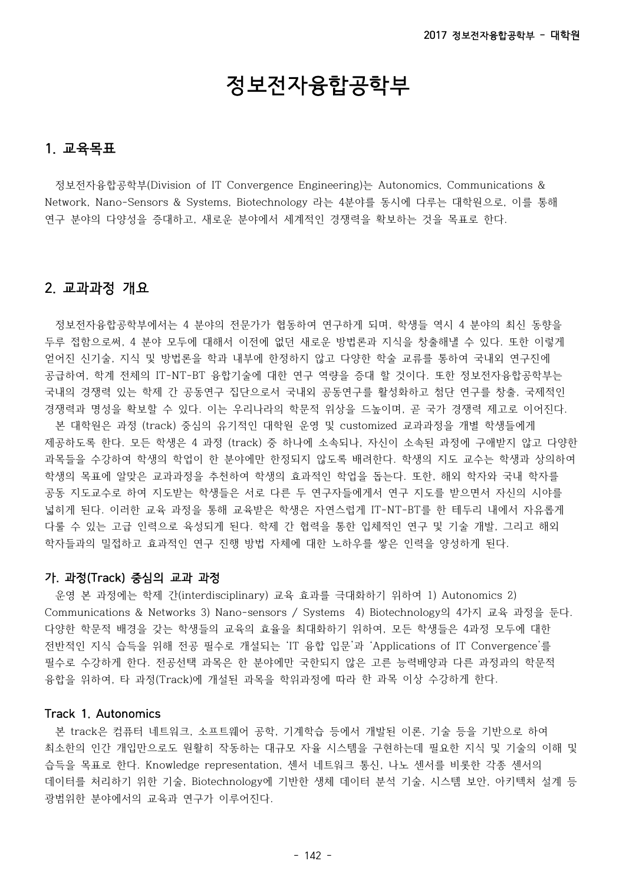# 정보전자융합공학부

## 1. 교육목표

 정보전자융합공학부(Division of IT Convergence Engineering)는 Autonomics, Communications & Network, Nano-Sensors & Systems, Biotechnology 라는 4분야를 동시에 다루는 대학원으로, 이를 통해 연구 분야의 다양성을 증대하고, 새로운 분야에서 세계적인 경쟁력을 확보하는 것을 목표로 한다.

## 2. 교과과정 개요

 정보전자융합공학부에서는 4 분야의 전문가가 협동하여 연구하게 되며, 학생들 역시 4 분야의 최신 동향을 두루 접함으로써, 4 분야 모두에 대해서 이전에 없던 새로운 방법론과 지식을 창출해낼 수 있다. 또한 이렇게 얻어진 신기술, 지식 및 방법론을 학과 내부에 한정하지 않고 다양한 학술 교류를 통하여 국내외 연구진에 공급하여, 학계 전체의 IT-NT-BT 융합기술에 대한 연구 역량을 증대 할 것이다. 또한 정보전자융합공학부는 국내의 경쟁력 있는 학제 간 공동연구 집단으로서 국내외 공동연구를 활성화하고 첨단 연구를 창출, 국제적인 경쟁력과 명성을 확보할 수 있다. 이는 우리나라의 학문적 위상을 드높이며, 곧 국가 경쟁력 제고로 이어진다.

 본 대학원은 과정 (track) 중심의 유기적인 대학원 운영 및 customized 교과과정을 개별 학생들에게 제공하도록 한다. 모든 학생은 4 과정 (track) 중 하나에 소속되나, 자신이 소속된 과정에 구애받지 않고 다양한 과목들을 수강하여 학생의 학업이 한 분야에만 한정되지 않도록 배려한다. 학생의 지도 교수는 학생과 상의하여 학생의 목표에 알맞은 교과과정을 추천하여 학생의 효과적인 학업을 돕는다. 또한, 해외 학자와 국내 학자를 공동 지도교수로 하여 지도받는 학생들은 서로 다른 두 연구자들에게서 연구 지도를 받으면서 자신의 시야를 넓히게 된다. 이러한 교육 과정을 통해 교육받은 학생은 자연스럽게 IT-NT-BT를 한 테두리 내에서 자유롭게 다룰 수 있는 고급 인력으로 육성되게 된다. 학제 간 협력을 통한 입체적인 연구 및 기술 개발, 그리고 해외 학자들과의 밀접하고 효과적인 연구 진행 방법 자체에 대한 노하우를 쌓은 인력을 양성하게 된다.

## 가. 과정(Track) 중심의 교과 과정

 운영 본 과정에는 학제 간(interdisciplinary) 교육 효과를 극대화하기 위하여 1) Autonomics 2) Communications & Networks 3) Nano-sensors / Systems 4) Biotechnology의 4가지 교육 과정을 둔다.<br>다양한 학문적 배경을 갖는 학생들의 교육의 효율을 최대화하기 위하여, 모든 학생들은 4과정 모두에 대한 전반적인 지식 습득을 위해 전공 필수로 개설되는 'IT 융합 입문'과 'Applications of IT Convergence'를 필수로 수강하게 한다. 전공선택 과목은 한 분야에만 국한되지 않은 고른 능력배양과 다른 과정과의 학문적 융합을 위하여, 타 과정(Track)에 개설된 과목을 학위과정에 따라 한 과목 이상 수강하게 한다.

## Track 1. Autonomics

 본 track은 컴퓨터 네트워크, 소프트웨어 공학, 기계학습 등에서 개발된 이론, 기술 등을 기반으로 하여 최소한의 인간 개입만으로도 원활히 작동하는 대규모 자율 시스템을 구현하는데 필요한 지식 및 기술의 이해 및 습득을 목표로 한다. Knowledge representation, 센서 네트워크 통신, 나노 센서를 비롯한 각종 센서의 데이터를 처리하기 위한 기술, Biotechnology에 기반한 생체 데이터 분석 기술, 시스템 보안, 아키텍처 설계 등 광범위한 분야에서의 교육과 연구가 이루어진다.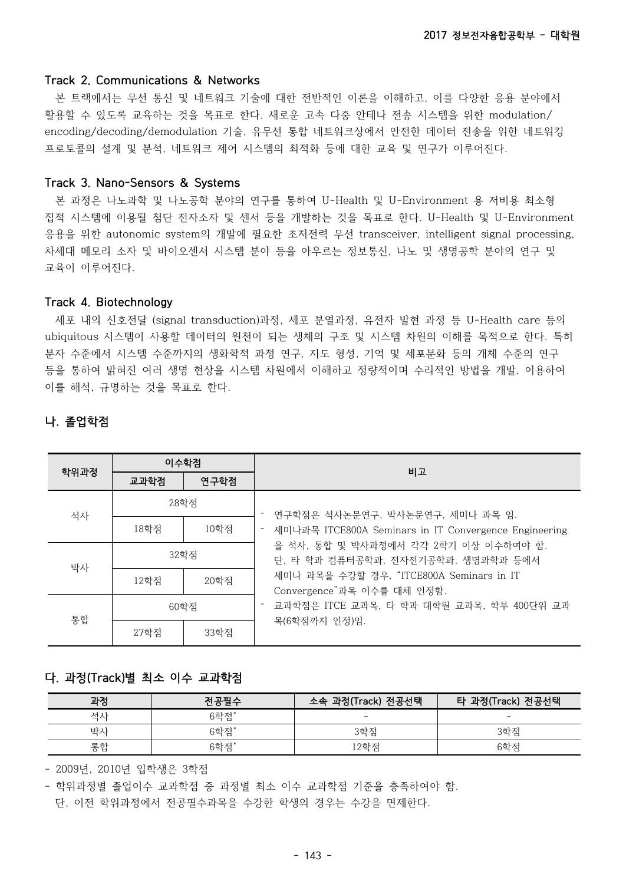#### Track 2. Communications & Networks

 본 트랙에서는 무선 통신 및 네트워크 기술에 대한 전반적인 이론을 이해하고, 이를 다양한 응용 분야에서 활용할 수 있도록 교육하는 것을 목표로 한다. 새로운 고속 다중 안테나 전송 시스템을 위한 modulation/ encoding/decoding/demodulation 기술, 유무선 통합 네트워크상에서 안전한 데이터 전송을 위한 네트워킹 프로토콜의 설계 및 분석, 네트워크 제어 시스템의 최적화 등에 대한 교육 및 연구가 이루어진다.

#### Track 3. Nano-Sensors & Systems

 본 과정은 나노과학 및 나노공학 분야의 연구를 통하여 U-Health 및 U-Environment 용 저비용 최소형 집적 시스템에 이용될 첨단 전자소자 및 센서 등을 개발하는 것을 목표로 한다. U-Health 및 U-Environment 응용을 위한 autonomic system의 개발에 필요한 초저전력 무선 transceiver, intelligent signal processing, 차세대 메모리 소자 및 바이오센서 시스템 분야 등을 아우르는 정보통신, 나노 및 생명공학 분야의 연구 및 교육이 이루어진다.

#### Track 4. Biotechnology

 세포 내의 신호전달 (signal transduction)과정, 세포 분열과정, 유전자 발현 과정 등 U-Health care 등의 ubiquitous 시스템이 사용할 데이터의 원천이 되는 생체의 구조 및 시스템 차원의 이해를 목적으로 한다. 특히 분자 수준에서 시스템 수준까지의 생화학적 과정 연구, 지도 형성, 기억 및 세포분화 등의 개체 수준의 연구 등을 통하여 밝혀진 여러 생명 현상을 시스템 차원에서 이해하고 정량적이며 수리적인 방법을 개발, 이용하여 이를 해석, 규명하는 것을 목표로 한다.

## 나. 졸업학점

|      | 이수학점 |      |                                                                                                                                                                                                                                                                                                                                 |
|------|------|------|---------------------------------------------------------------------------------------------------------------------------------------------------------------------------------------------------------------------------------------------------------------------------------------------------------------------------------|
| 학위과정 | 교과학점 | 연구학점 | 비고<br>연구학점은 석사논문연구, 박사논문연구, 세미나 과목 임.<br>세미나과목 ITCE800A Seminars in IT Convergence Engineering<br>$\overline{\phantom{a}}$<br>을 석사, 통합 및 박사과정에서 각각 2학기 이상 이수하여야 함.<br>단, 타 학과 컴퓨터공학과, 전자전기공학과, 생명과학과 등에서<br>세미나 과목을 수강할 경우, "ITCE800A Seminars in IT<br>Convergence"과목 이수를 대체 인정함.<br>교과학점은 ITCE 교과목, 타 학과 대학원 교과목, 학부 400단위 교과 |
| 석사   |      | 28학점 | 목(6학점까지 인정)임.                                                                                                                                                                                                                                                                                                                   |
|      | 18학점 | 10학점 |                                                                                                                                                                                                                                                                                                                                 |
|      | 32학점 |      |                                                                                                                                                                                                                                                                                                                                 |
| 박사   | 12학점 | 20학점 |                                                                                                                                                                                                                                                                                                                                 |
|      | 60학점 |      |                                                                                                                                                                                                                                                                                                                                 |
| 통합   | 27학점 | 33학점 |                                                                                                                                                                                                                                                                                                                                 |

## 다. 과정(Track)별 최소 이수 교과학점

| 과정 | 전공필수 | 과정(Track) 전공선택<br>소속     | 과정(Track) 전공선택<br>타      |
|----|------|--------------------------|--------------------------|
| 석사 | 6학점* | $\overline{\phantom{0}}$ | $\overline{\phantom{0}}$ |
| 박사 | 6학점* | 3학점                      | 3학점                      |
| 통합 | 6학점* | 12학점                     | 6학점                      |

- 2009년, 2010년 입학생은 3학점

- 학위과정별 졸업이수 교과학점 중 과정별 최소 이수 교과학점 기준을 충족하여야 함. 단, 이전 학위과정에서 전공필수과목을 수강한 학생의 경우는 수강을 면제한다.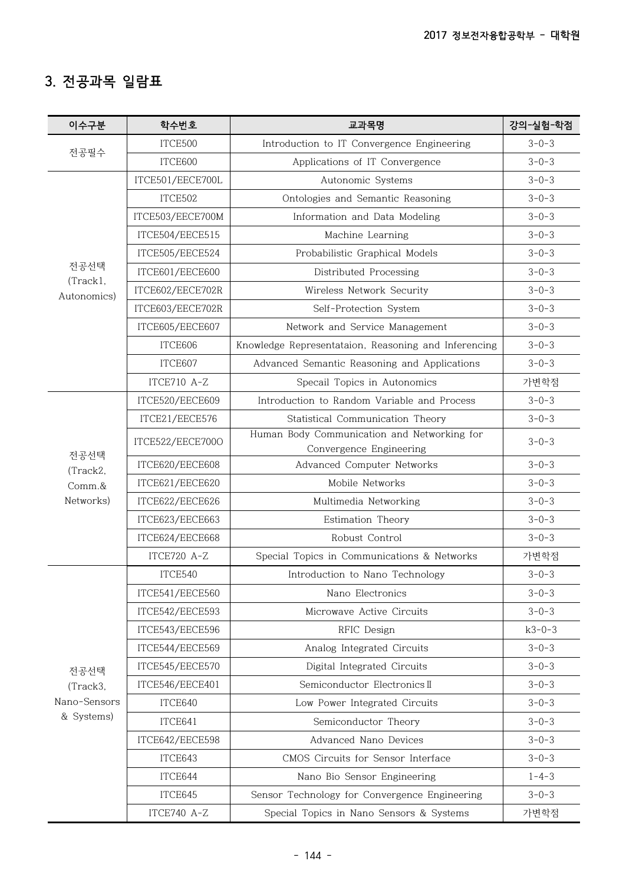## 3. 전공과목 일람표

| 이수구분                                                                                                                                                                   | 학수번호                                         | 교과목명                                                                   | 강의-실험-학점                                                                                                                                                                                                                                                                                                                                                                                                                                                                                                                             |
|------------------------------------------------------------------------------------------------------------------------------------------------------------------------|----------------------------------------------|------------------------------------------------------------------------|--------------------------------------------------------------------------------------------------------------------------------------------------------------------------------------------------------------------------------------------------------------------------------------------------------------------------------------------------------------------------------------------------------------------------------------------------------------------------------------------------------------------------------------|
| 전공필수                                                                                                                                                                   | ITCE500                                      | Introduction to IT Convergence Engineering                             | $3 - 0 - 3$                                                                                                                                                                                                                                                                                                                                                                                                                                                                                                                          |
|                                                                                                                                                                        | ITCE600                                      | Applications of IT Convergence                                         | $3 - 0 - 3$<br>$3 - 0 - 3$<br>$3 - 0 - 3$<br>$3 - 0 - 3$<br>$3 - 0 - 3$<br>$3 - 0 - 3$<br>$3 - 0 - 3$<br>$3 - 0 - 3$<br>$3 - 0 - 3$<br>$3 - 0 - 3$<br>$3 - 0 - 3$<br>$3 - 0 - 3$<br>가변학점<br>$3 - 0 - 3$<br>$3 - 0 - 3$<br>$3 - 0 - 3$<br>$3 - 0 - 3$<br>$3 - 0 - 3$<br>$3 - 0 - 3$<br>$3 - 0 - 3$<br>$3 - 0 - 3$<br>가변학점<br>$3 - 0 - 3$<br>$3 - 0 - 3$<br>$3 - 0 - 3$<br>$k3 - 0 - 3$<br>$3 - 0 - 3$<br>$3 - 0 - 3$<br>$3 - 0 - 3$<br>$3 - 0 - 3$<br>$3 - 0 - 3$<br>$3 - 0 - 3$<br>$3 - 0 - 3$<br>$1 - 4 - 3$<br>$3 - 0 - 3$<br>가변학점 |
|                                                                                                                                                                        | ITCE501/EECE700L                             | Autonomic Systems                                                      |                                                                                                                                                                                                                                                                                                                                                                                                                                                                                                                                      |
|                                                                                                                                                                        | ITCE502                                      | Ontologies and Semantic Reasoning                                      |                                                                                                                                                                                                                                                                                                                                                                                                                                                                                                                                      |
|                                                                                                                                                                        | ITCE503/EECE700M                             | Information and Data Modeling                                          |                                                                                                                                                                                                                                                                                                                                                                                                                                                                                                                                      |
|                                                                                                                                                                        | ITCE504/EECE515                              | Machine Learning                                                       |                                                                                                                                                                                                                                                                                                                                                                                                                                                                                                                                      |
|                                                                                                                                                                        | ITCE505/EECE524                              | Probabilistic Graphical Models                                         |                                                                                                                                                                                                                                                                                                                                                                                                                                                                                                                                      |
| 전공선택                                                                                                                                                                   | ITCE601/EECE600                              | Distributed Processing                                                 |                                                                                                                                                                                                                                                                                                                                                                                                                                                                                                                                      |
| (Track1,<br>Autonomics)                                                                                                                                                | ITCE602/EECE702R                             | Wireless Network Security                                              |                                                                                                                                                                                                                                                                                                                                                                                                                                                                                                                                      |
|                                                                                                                                                                        | ITCE603/EECE702R                             | Self-Protection System                                                 |                                                                                                                                                                                                                                                                                                                                                                                                                                                                                                                                      |
|                                                                                                                                                                        | ITCE605/EECE607                              | Network and Service Management                                         |                                                                                                                                                                                                                                                                                                                                                                                                                                                                                                                                      |
|                                                                                                                                                                        | ITCE606                                      | Knowledge Representataion, Reasoning and Inferencing                   |                                                                                                                                                                                                                                                                                                                                                                                                                                                                                                                                      |
| ITCE607<br>ITCE710 A-Z<br>ITCE520/EECE609<br>ITCE21/EECE576<br>ITCE522/EECE700O<br>전공선택<br>ITCE620/EECE608<br>(Track2,<br>ITCE621/EECE620<br>Mobile Networks<br>Comm.& | Advanced Semantic Reasoning and Applications |                                                                        |                                                                                                                                                                                                                                                                                                                                                                                                                                                                                                                                      |
|                                                                                                                                                                        |                                              | Specail Topics in Autonomics                                           |                                                                                                                                                                                                                                                                                                                                                                                                                                                                                                                                      |
|                                                                                                                                                                        |                                              | Introduction to Random Variable and Process                            |                                                                                                                                                                                                                                                                                                                                                                                                                                                                                                                                      |
|                                                                                                                                                                        |                                              | Statistical Communication Theory                                       |                                                                                                                                                                                                                                                                                                                                                                                                                                                                                                                                      |
|                                                                                                                                                                        |                                              | Human Body Communication and Networking for<br>Convergence Engineering |                                                                                                                                                                                                                                                                                                                                                                                                                                                                                                                                      |
|                                                                                                                                                                        |                                              | Advanced Computer Networks                                             |                                                                                                                                                                                                                                                                                                                                                                                                                                                                                                                                      |
|                                                                                                                                                                        |                                              |                                                                        |                                                                                                                                                                                                                                                                                                                                                                                                                                                                                                                                      |
| Networks)                                                                                                                                                              | ITCE622/EECE626                              | Multimedia Networking                                                  |                                                                                                                                                                                                                                                                                                                                                                                                                                                                                                                                      |
|                                                                                                                                                                        | ITCE623/EECE663                              | Estimation Theory                                                      |                                                                                                                                                                                                                                                                                                                                                                                                                                                                                                                                      |
|                                                                                                                                                                        | ITCE624/EECE668                              | Robust Control                                                         |                                                                                                                                                                                                                                                                                                                                                                                                                                                                                                                                      |
|                                                                                                                                                                        | ITCE720 A-Z                                  | Special Topics in Communications & Networks                            |                                                                                                                                                                                                                                                                                                                                                                                                                                                                                                                                      |
|                                                                                                                                                                        | ITCE540                                      | Introduction to Nano Technology                                        |                                                                                                                                                                                                                                                                                                                                                                                                                                                                                                                                      |
|                                                                                                                                                                        | ITCE541/EECE560                              | Nano Electronics                                                       |                                                                                                                                                                                                                                                                                                                                                                                                                                                                                                                                      |
|                                                                                                                                                                        | ITCE542/EECE593                              | Microwave Active Circuits                                              |                                                                                                                                                                                                                                                                                                                                                                                                                                                                                                                                      |
|                                                                                                                                                                        | ITCE543/EECE596                              | RFIC Design                                                            |                                                                                                                                                                                                                                                                                                                                                                                                                                                                                                                                      |
|                                                                                                                                                                        | ITCE544/EECE569                              | Analog Integrated Circuits                                             |                                                                                                                                                                                                                                                                                                                                                                                                                                                                                                                                      |
|                                                                                                                                                                        | ITCE545/EECE570                              | Digital Integrated Circuits                                            |                                                                                                                                                                                                                                                                                                                                                                                                                                                                                                                                      |
| (Track3,<br>Nano-Sensors                                                                                                                                               | ITCE546/EECE401                              | Semiconductor Electronics II                                           |                                                                                                                                                                                                                                                                                                                                                                                                                                                                                                                                      |
|                                                                                                                                                                        | ITCE640                                      | Low Power Integrated Circuits                                          |                                                                                                                                                                                                                                                                                                                                                                                                                                                                                                                                      |
| & Systems)                                                                                                                                                             | ITCE641                                      | Semiconductor Theory                                                   |                                                                                                                                                                                                                                                                                                                                                                                                                                                                                                                                      |
|                                                                                                                                                                        | ITCE642/EECE598                              | Advanced Nano Devices                                                  |                                                                                                                                                                                                                                                                                                                                                                                                                                                                                                                                      |
|                                                                                                                                                                        | ITCE643                                      | CMOS Circuits for Sensor Interface                                     |                                                                                                                                                                                                                                                                                                                                                                                                                                                                                                                                      |
|                                                                                                                                                                        | ITCE644                                      | Nano Bio Sensor Engineering                                            |                                                                                                                                                                                                                                                                                                                                                                                                                                                                                                                                      |
| 전공선택                                                                                                                                                                   | ITCE645                                      | Sensor Technology for Convergence Engineering                          |                                                                                                                                                                                                                                                                                                                                                                                                                                                                                                                                      |
|                                                                                                                                                                        | ITCE740 A-Z                                  | Special Topics in Nano Sensors & Systems                               |                                                                                                                                                                                                                                                                                                                                                                                                                                                                                                                                      |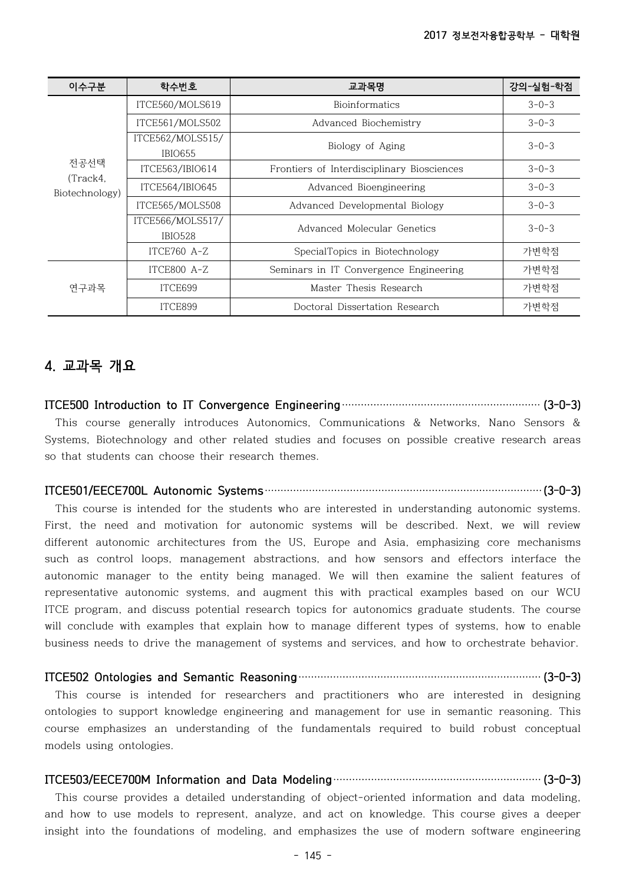| 이수구분                       | 학수번호                                      | 교과목명                                       | 강의-실험-학점                                  |
|----------------------------|-------------------------------------------|--------------------------------------------|-------------------------------------------|
|                            | ITCE560/MOLS619                           | Bioinformatics                             | $3 - 0 - 3$                               |
|                            | ITCE561/MOLS502                           | Advanced Biochemistry                      | $3 - 0 - 3$                               |
|                            | ITCE562/MOLS515/<br>IBIO655               | Biology of Aging                           | $3 - 0 - 3$                               |
| 전공선택                       | ITCE563/IBIO614                           | Frontiers of Interdisciplinary Biosciences | $3 - 0 - 3$<br>$3 - 0 - 3$<br>$3 - 0 - 3$ |
| (Track4,<br>Biotechnology) | ITCE564/IBIO645                           | Advanced Bioengineering                    |                                           |
|                            | ITCE565/MOLS508                           | Advanced Developmental Biology             |                                           |
|                            | ITCE566/MOLS517/<br>IBIO528               | Advanced Molecular Genetics                | $3 - 0 - 3$                               |
|                            | ITCE760 A-Z                               | 가변학점<br>SpecialTopics in Biotechnology     |                                           |
|                            | ITCE800 A-Z                               | Seminars in IT Convergence Engineering     | 가변학점                                      |
| 연구과목                       | ITCE699                                   | Master Thesis Research                     | 가변학점                                      |
|                            | ITCE899<br>Doctoral Dissertation Research | 가변학점                                       |                                           |

## 4. 교과목 개요

ITCE500 Introduction to IT Convergence Engineering (3-0-3) This course generally introduces Autonomics, Communications & Networks, Nano Sensors & Systems, Biotechnology and other related studies and focuses on possible creative research areas so that students can choose their research themes.

## ITCE501/EECE700L Autonomic Systems (3-0-3)

 This course is intended for the students who are interested in understanding autonomic systems. First, the need and motivation for autonomic systems will be described. Next, we will review different autonomic architectures from the US, Europe and Asia, emphasizing core mechanisms such as control loops, management abstractions, and how sensors and effectors interface the autonomic manager to the entity being managed. We will then examine the salient features of representative autonomic systems, and augment this with practical examples based on our WCU ITCE program, and discuss potential research topics for autonomics graduate students. The course will conclude with examples that explain how to manage different types of systems, how to enable business needs to drive the management of systems and services, and how to orchestrate behavior.

## ITCE502 Ontologies and Semantic Reasoning (3-0-3)

 This course is intended for researchers and practitioners who are interested in designing ontologies to support knowledge engineering and management for use in semantic reasoning. This course emphasizes an understanding of the fundamentals required to build robust conceptual models using ontologies.

## ITCE503/EECE700M Information and Data Modeling (3-0-3)

 This course provides a detailed understanding of object-oriented information and data modeling, and how to use models to represent, analyze, and act on knowledge. This course gives a deeper insight into the foundations of modeling, and emphasizes the use of modern software engineering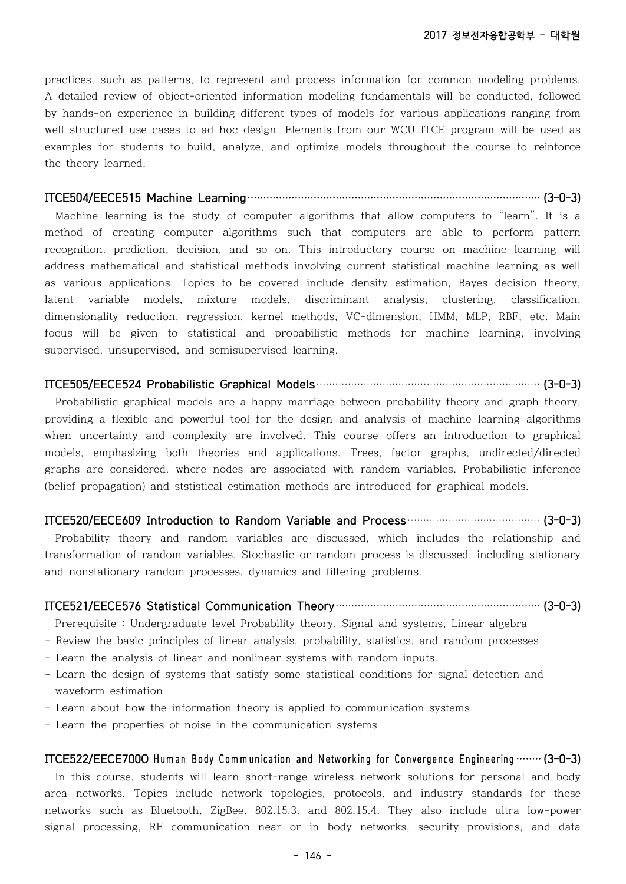practices, such as patterns, to represent and process information for common modeling problems. A detailed review of object-oriented information modeling fundamentals will be conducted, followed by hands-on experience in building different types of models for various applications ranging from well structured use cases to ad hoc design. Elements from our WCU ITCE program will be used as examples for students to build, analyze, and optimize models throughout the course to reinforce the theory learned.

#### ITCE504/EECE515 Machine Learning (2000) (3-0-3)

 Machine learning is the study of computer algorithms that allow computers to "learn". It is a method of creating computer algorithms such that computers are able to perform pattern recognition, prediction, decision, and so on. This introductory course on machine learning will address mathematical and statistical methods involving current statistical machine learning as well as various applications. Topics to be covered include density estimation, Bayes decision theory, latent variable models, mixture models, discriminant analysis, clustering, classification, dimensionality reduction, regression, kernel methods, VC-dimension, HMM, MLP, RBF, etc. Main focus will be given to statistical and probabilistic methods for machine learning, involving supervised, unsupervised, and semisupervised learning.

#### ITCE505/EECE524 Probabilistic Graphical Models (3-0-3)

 Probabilistic graphical models are a happy marriage between probability theory and graph theory, providing a flexible and powerful tool for the design and analysis of machine learning algorithms when uncertainty and complexity are involved. This course offers an introduction to graphical models, emphasizing both theories and applications. Trees, factor graphs, undirected/directed graphs are considered, where nodes are associated with random variables. Probabilistic inference (belief propagation) and ststistical estimation methods are introduced for graphical models.

#### ITCE520/EECE609 Introduction to Random Variable and Process (3-0-3)

 Probability theory and random variables are discussed, which includes the relationship and transformation of random variables. Stochastic or random process is discussed, including stationary and nonstationary random processes, dynamics and filtering problems.

## ITCE521/EECE576 Statistical Communication Theory (3-0-3)

Prerequisite : Undergraduate level Probability theory, Signal and systems, Linear algebra

- Review the basic principles of linear analysis, probability, statistics, and random processes
- Learn the analysis of linear and nonlinear systems with random inputs.
- Learn the design of systems that satisfy some statistical conditions for signal detection and waveform estimation
- Learn about how the information theory is applied to communication systems
- Learn the properties of noise in the communication systems

#### ITCE522/EECE7000 Human Body Communication and Networking for Convergence Engineering ....... (3-0-3)

 In this course, students will learn short-range wireless network solutions for personal and body area networks. Topics include network topologies, protocols, and industry standards for these networks such as Bluetooth, ZigBee, 802.15.3, and 802.15.4. They also include ultra low-power signal processing, RF communication near or in body networks, security provisions, and data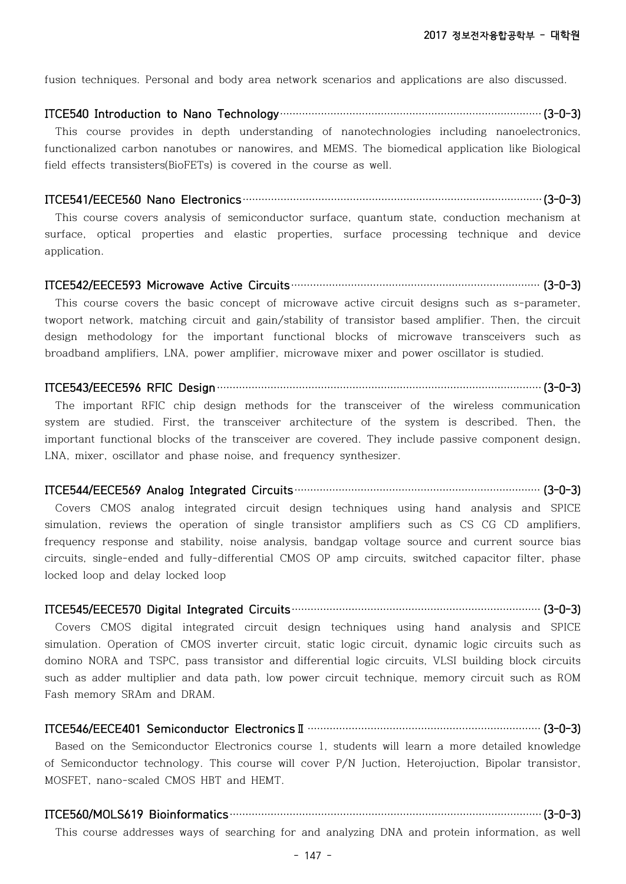fusion techniques. Personal and body area network scenarios and applications are also discussed.

## ITCE540 Introduction to Nano Technology (3000) (3000) (3-0-3)

 This course provides in depth understanding of nanotechnologies including nanoelectronics, functionalized carbon nanotubes or nanowires, and MEMS. The biomedical application like Biological field effects transisters(BioFETs) is covered in the course as well.

#### ITCE541/EECE560 Nano Electronics (2000) (3-0-3)

 This course covers analysis of semiconductor surface, quantum state, conduction mechanism at surface, optical properties and elastic properties, surface processing technique and device application.

#### ITCE542/EECE593 Microwave Active Circuits (3-0-3)

 This course covers the basic concept of microwave active circuit designs such as s-parameter, twoport network, matching circuit and gain/stability of transistor based amplifier. Then, the circuit design methodology for the important functional blocks of microwave transceivers such as broadband amplifiers, LNA, power amplifier, microwave mixer and power oscillator is studied.

## ITCE543/EECE596 RFIC Design (2000) (3-0-3)

 The important RFIC chip design methods for the transceiver of the wireless communication system are studied. First, the transceiver architecture of the system is described. Then, the important functional blocks of the transceiver are covered. They include passive component design, LNA, mixer, oscillator and phase noise, and frequency synthesizer.

#### ITCE544/EECE569 Analog Integrated Circuits (3-0-3)

 Covers CMOS analog integrated circuit design techniques using hand analysis and SPICE simulation, reviews the operation of single transistor amplifiers such as CS CG CD amplifiers, frequency response and stability, noise analysis, bandgap voltage source and current source bias circuits, single-ended and fully-differential CMOS OP amp circuits, switched capacitor filter, phase locked loop and delay locked loop

#### ITCE545/EECE570 Digital Integrated Circuits (3-0-3)

 Covers CMOS digital integrated circuit design techniques using hand analysis and SPICE simulation. Operation of CMOS inverter circuit, static logic circuit, dynamic logic circuits such as domino NORA and TSPC, pass transistor and differential logic circuits, VLSI building block circuits such as adder multiplier and data path, low power circuit technique, memory circuit such as ROM Fash memory SRAm and DRAM.

## ITCE546/EECE401 Semiconductor ElectronicsⅡ (3-0-3)

 Based on the Semiconductor Electronics course 1, students will learn a more detailed knowledge of Semiconductor technology. This course will cover P/N Juction, Heterojuction, Bipolar transistor, MOSFET, nano-scaled CMOS HBT and HEMT.

## ITCE560/MOLS619 Bioinformatics (3-0-3)

This course addresses ways of searching for and analyzing DNA and protein information, as well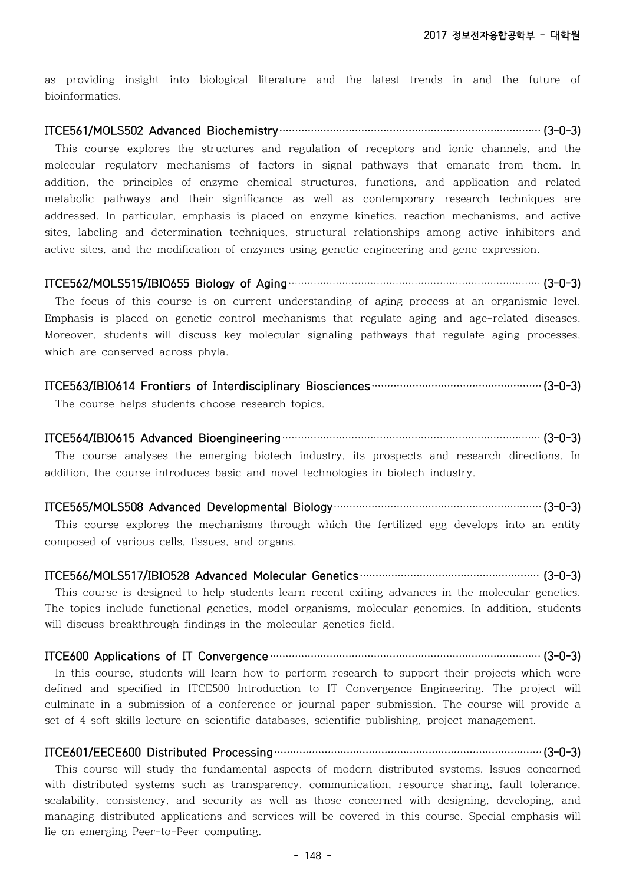as providing insight into biological literature and the latest trends in and the future of bioinformatics.

## ITCE561/MOLS502 Advanced Biochemistry (3-0-3)

 This course explores the structures and regulation of receptors and ionic channels, and the molecular regulatory mechanisms of factors in signal pathways that emanate from them. In addition, the principles of enzyme chemical structures, functions, and application and related metabolic pathways and their significance as well as contemporary research techniques are addressed. In particular, emphasis is placed on enzyme kinetics, reaction mechanisms, and active sites, labeling and determination techniques, structural relationships among active inhibitors and active sites, and the modification of enzymes using genetic engineering and gene expression.

## ITCE562/MOLS515/IBIO655 Biology of Aging (3-0-3)

 The focus of this course is on current understanding of aging process at an organismic level. Emphasis is placed on genetic control mechanisms that regulate aging and age-related diseases. Moreover, students will discuss key molecular signaling pathways that regulate aging processes, which are conserved across phyla.

## ITCE563/IBIO614 Frontiers of Interdisciplinary Biosciences (2000) Material (3-0-3)

The course helps students choose research topics.

#### ITCE564/IBIO615 Advanced Bioengineering (3-0-3)

 The course analyses the emerging biotech industry, its prospects and research directions. In addition, the course introduces basic and novel technologies in biotech industry.

#### ITCE565/MOLS508 Advanced Developmental Biology (111) (3000) (300-3) (3-0-3)

 This course explores the mechanisms through which the fertilized egg develops into an entity composed of various cells, tissues, and organs.

#### ITCE566/MOLS517/IBIO528 Advanced Molecular Genetics (3-0-3)

 This course is designed to help students learn recent exiting advances in the molecular genetics. The topics include functional genetics, model organisms, molecular genomics. In addition, students will discuss breakthrough findings in the molecular genetics field.

#### ITCE600 Applications of IT Convergence (3-0-3)

 In this course, students will learn how to perform research to support their projects which were defined and specified in ITCE500 Introduction to IT Convergence Engineering. The project will culminate in a submission of a conference or journal paper submission. The course will provide a set of 4 soft skills lecture on scientific databases, scientific publishing, project management.

## ITCE601/EECE600 Distributed Processing (2000) (3-0-3)

 This course will study the fundamental aspects of modern distributed systems. Issues concerned with distributed systems such as transparency, communication, resource sharing, fault tolerance, scalability, consistency, and security as well as those concerned with designing, developing, and managing distributed applications and services will be covered in this course. Special emphasis will lie on emerging Peer-to-Peer computing.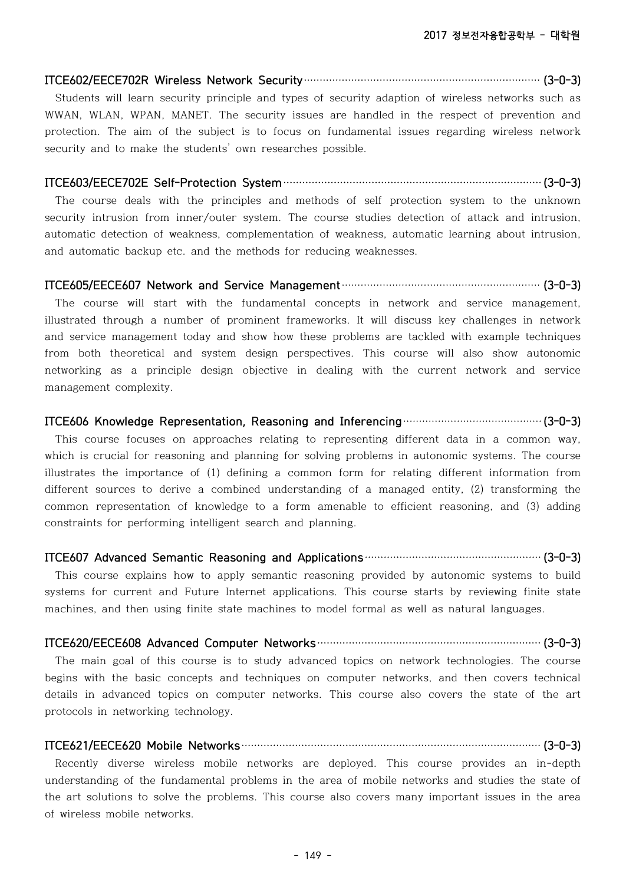## ITCE602/EECE702R Wireless Network Security (3-0-3)

 Students will learn security principle and types of security adaption of wireless networks such as WWAN, WLAN, WPAN, MANET. The security issues are handled in the respect of prevention and protection. The aim of the subject is to focus on fundamental issues regarding wireless network security and to make the students' own researches possible.

#### ITCE603/EECE702E Self-Protection System (3-0-3)

 The course deals with the principles and methods of self protection system to the unknown security intrusion from inner/outer system. The course studies detection of attack and intrusion, automatic detection of weakness, complementation of weakness, automatic learning about intrusion, and automatic backup etc. and the methods for reducing weaknesses.

## ITCE605/EECE607 Network and Service Management (3-0-3)

 The course will start with the fundamental concepts in network and service management, illustrated through a number of prominent frameworks. It will discuss key challenges in network and service management today and show how these problems are tackled with example techniques from both theoretical and system design perspectives. This course will also show autonomic networking as a principle design objective in dealing with the current network and service management complexity.

## ITCE606 Knowledge Representation, Reasoning and Inferencing **Construction** (3-0-3)

 This course focuses on approaches relating to representing different data in a common way, which is crucial for reasoning and planning for solving problems in autonomic systems. The course illustrates the importance of (1) defining a common form for relating different information from different sources to derive a combined understanding of a managed entity, (2) transforming the common representation of knowledge to a form amenable to efficient reasoning, and (3) adding constraints for performing intelligent search and planning.

## ITCE607 Advanced Semantic Reasoning and Applications (3-0-3)

 This course explains how to apply semantic reasoning provided by autonomic systems to build systems for current and Future Internet applications. This course starts by reviewing finite state machines, and then using finite state machines to model formal as well as natural languages.

## ITCE620/EECE608 Advanced Computer Networks (3-0-3)

 The main goal of this course is to study advanced topics on network technologies. The course begins with the basic concepts and techniques on computer networks, and then covers technical details in advanced topics on computer networks. This course also covers the state of the art protocols in networking technology.

#### ITCE621/EECE620 Mobile Networks (3-0-3)

 Recently diverse wireless mobile networks are deployed. This course provides an in-depth understanding of the fundamental problems in the area of mobile networks and studies the state of the art solutions to solve the problems. This course also covers many important issues in the area of wireless mobile networks.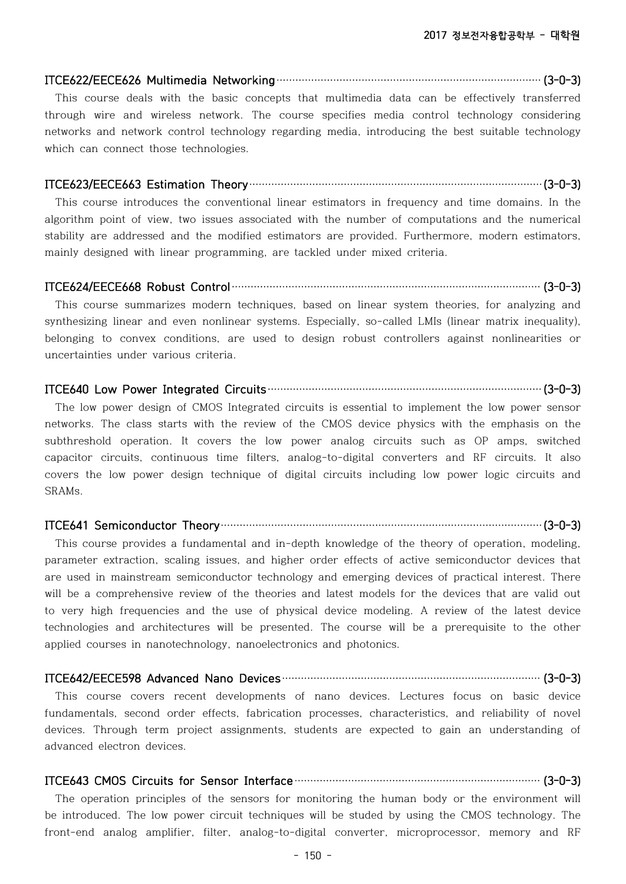## ITCE622/EECE626 Multimedia Networking (3-0-3)

 This course deals with the basic concepts that multimedia data can be effectively transferred through wire and wireless network. The course specifies media control technology considering networks and network control technology regarding media, introducing the best suitable technology which can connect those technologies.

#### ITCE623/EECE663 Estimation Theory (1990) (1990) (3-0-3)

 This course introduces the conventional linear estimators in frequency and time domains. In the algorithm point of view, two issues associated with the number of computations and the numerical stability are addressed and the modified estimators are provided. Furthermore, modern estimators, mainly designed with linear programming, are tackled under mixed criteria.

## ITCE624/EECE668 Robust Control (2000) (2000) (3-0-3)

 This course summarizes modern techniques, based on linear system theories, for analyzing and synthesizing linear and even nonlinear systems. Especially, so-called LMIs (linear matrix inequality), belonging to convex conditions, are used to design robust controllers against nonlinearities or uncertainties under various criteria.

#### ITCE640 Low Power Integrated Circuits (3-0-3)

 The low power design of CMOS Integrated circuits is essential to implement the low power sensor networks. The class starts with the review of the CMOS device physics with the emphasis on the subthreshold operation. It covers the low power analog circuits such as OP amps, switched capacitor circuits, continuous time filters, analog-to-digital converters and RF circuits. It also covers the low power design technique of digital circuits including low power logic circuits and SRAMs.

## ITCE641 Semiconductor Theory (3-0-3)

 This course provides a fundamental and in-depth knowledge of the theory of operation, modeling, parameter extraction, scaling issues, and higher order effects of active semiconductor devices that are used in mainstream semiconductor technology and emerging devices of practical interest. There will be a comprehensive review of the theories and latest models for the devices that are valid out to very high frequencies and the use of physical device modeling. A review of the latest device technologies and architectures will be presented. The course will be a prerequisite to the other applied courses in nanotechnology, nanoelectronics and photonics.

## ITCE642/EECE598 Advanced Nano Devices (3-0-3)

 This course covers recent developments of nano devices. Lectures focus on basic device fundamentals, second order effects, fabrication processes, characteristics, and reliability of novel devices. Through term project assignments, students are expected to gain an understanding of advanced electron devices.

## ITCE643 CMOS Circuits for Sensor Interface (3-0-3)

 The operation principles of the sensors for monitoring the human body or the environment will be introduced. The low power circuit techniques will be studed by using the CMOS technology. The front-end analog amplifier, filter, analog-to-digital converter, microprocessor, memory and RF